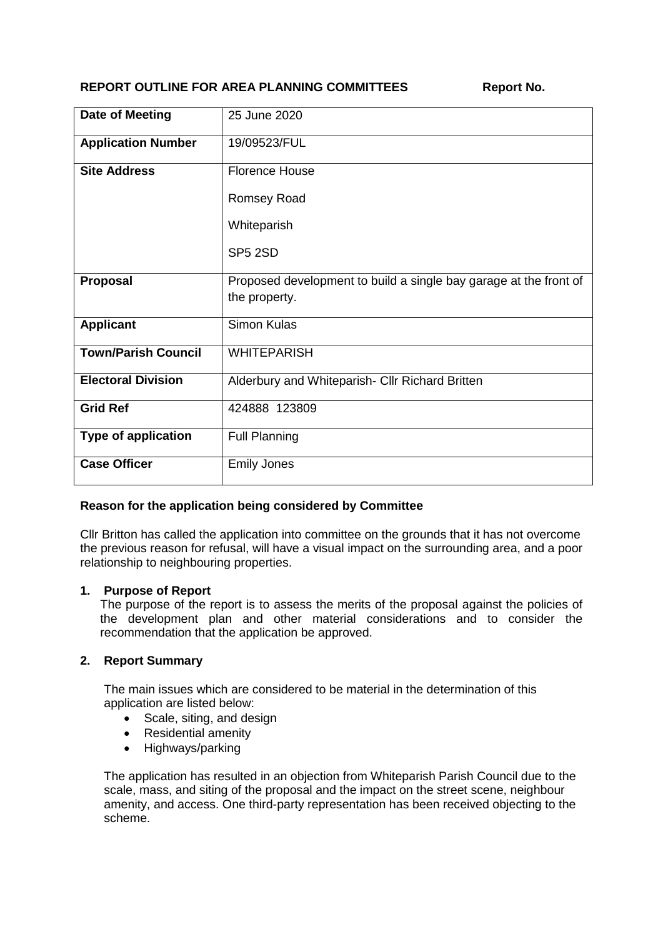# **REPORT OUTLINE FOR AREA PLANNING COMMITTEES Report No.**

| <b>Date of Meeting</b>     | 25 June 2020                                                      |
|----------------------------|-------------------------------------------------------------------|
| <b>Application Number</b>  | 19/09523/FUL                                                      |
| <b>Site Address</b>        | <b>Florence House</b>                                             |
|                            | Romsey Road                                                       |
|                            | Whiteparish                                                       |
|                            | SP5 2SD                                                           |
| Proposal                   | Proposed development to build a single bay garage at the front of |
|                            | the property.                                                     |
| <b>Applicant</b>           | <b>Simon Kulas</b>                                                |
| <b>Town/Parish Council</b> | <b>WHITEPARISH</b>                                                |
| <b>Electoral Division</b>  | Alderbury and Whiteparish- Cllr Richard Britten                   |
| <b>Grid Ref</b>            | 424888 123809                                                     |
| <b>Type of application</b> | <b>Full Planning</b>                                              |
| <b>Case Officer</b>        | <b>Emily Jones</b>                                                |

# **Reason for the application being considered by Committee**

Cllr Britton has called the application into committee on the grounds that it has not overcome the previous reason for refusal, will have a visual impact on the surrounding area, and a poor relationship to neighbouring properties.

### **1. Purpose of Report**

The purpose of the report is to assess the merits of the proposal against the policies of the development plan and other material considerations and to consider the recommendation that the application be approved.

### **2. Report Summary**

The main issues which are considered to be material in the determination of this application are listed below:

- Scale, siting, and design
- Residential amenity
- Highways/parking

The application has resulted in an objection from Whiteparish Parish Council due to the scale, mass, and siting of the proposal and the impact on the street scene, neighbour amenity, and access. One third-party representation has been received objecting to the scheme.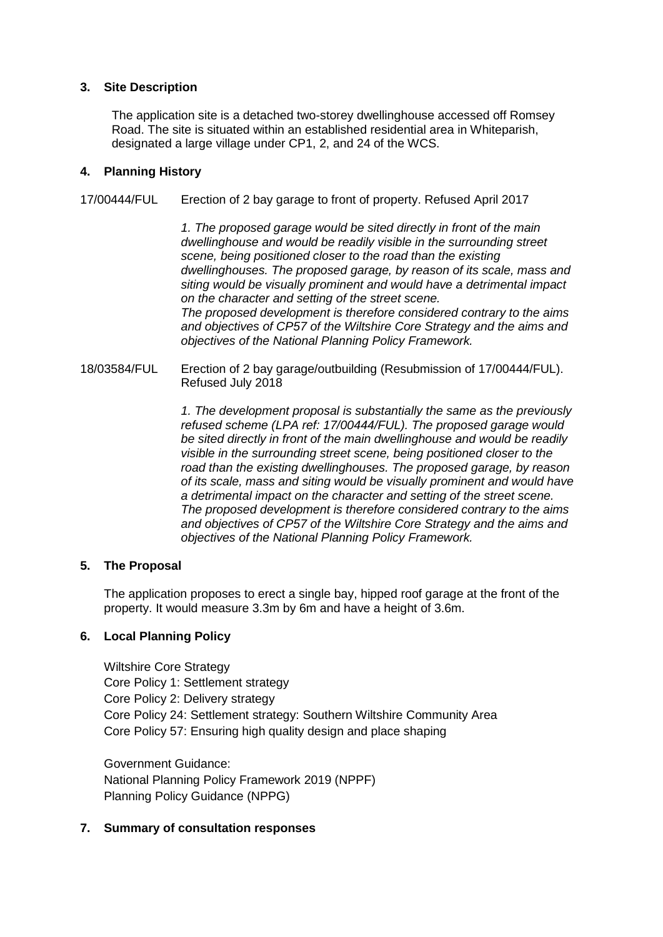### **3. Site Description**

The application site is a detached two-storey dwellinghouse accessed off Romsey Road. The site is situated within an established residential area in Whiteparish, designated a large village under CP1, 2, and 24 of the WCS.

### **4. Planning History**

17/00444/FUL Erection of 2 bay garage to front of property. Refused April 2017

*1. The proposed garage would be sited directly in front of the main dwellinghouse and would be readily visible in the surrounding street scene, being positioned closer to the road than the existing dwellinghouses. The proposed garage, by reason of its scale, mass and siting would be visually prominent and would have a detrimental impact on the character and setting of the street scene. The proposed development is therefore considered contrary to the aims and objectives of CP57 of the Wiltshire Core Strategy and the aims and objectives of the National Planning Policy Framework.*

18/03584/FUL Erection of 2 bay garage/outbuilding (Resubmission of 17/00444/FUL). Refused July 2018

> *1. The development proposal is substantially the same as the previously refused scheme (LPA ref: 17/00444/FUL). The proposed garage would be sited directly in front of the main dwellinghouse and would be readily visible in the surrounding street scene, being positioned closer to the road than the existing dwellinghouses. The proposed garage, by reason of its scale, mass and siting would be visually prominent and would have a detrimental impact on the character and setting of the street scene. The proposed development is therefore considered contrary to the aims and objectives of CP57 of the Wiltshire Core Strategy and the aims and objectives of the National Planning Policy Framework.*

### **5. The Proposal**

The application proposes to erect a single bay, hipped roof garage at the front of the property. It would measure 3.3m by 6m and have a height of 3.6m.

### **6. Local Planning Policy**

Wiltshire Core Strategy Core Policy 1: Settlement strategy Core Policy 2: Delivery strategy Core Policy 24: Settlement strategy: Southern Wiltshire Community Area Core Policy 57: Ensuring high quality design and place shaping

Government Guidance: National Planning Policy Framework 2019 (NPPF) Planning Policy Guidance (NPPG)

### **7. Summary of consultation responses**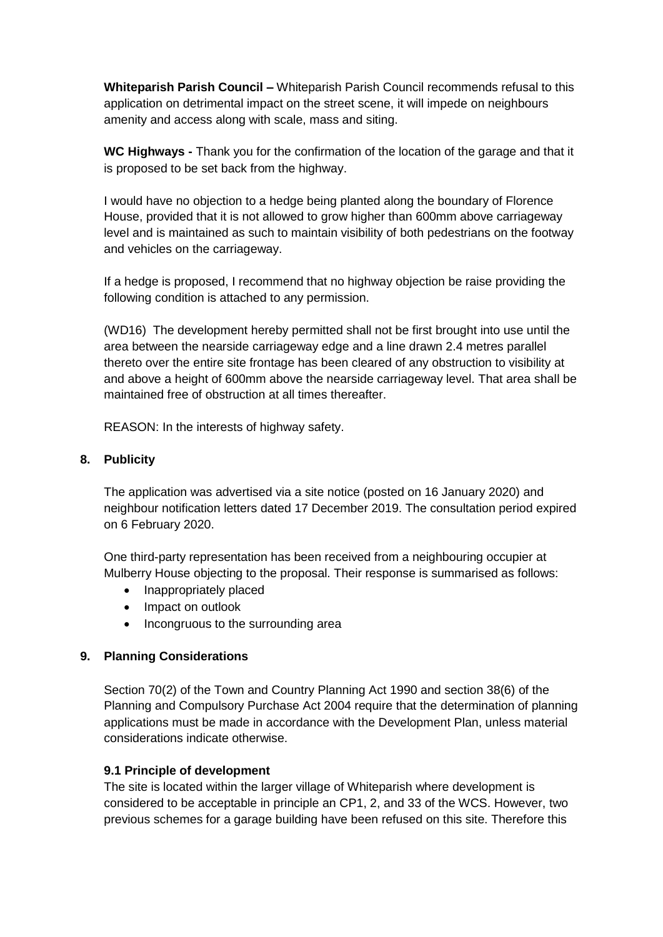**Whiteparish Parish Council –** Whiteparish Parish Council recommends refusal to this application on detrimental impact on the street scene, it will impede on neighbours amenity and access along with scale, mass and siting.

**WC Highways -** Thank you for the confirmation of the location of the garage and that it is proposed to be set back from the highway.

I would have no objection to a hedge being planted along the boundary of Florence House, provided that it is not allowed to grow higher than 600mm above carriageway level and is maintained as such to maintain visibility of both pedestrians on the footway and vehicles on the carriageway.

If a hedge is proposed, I recommend that no highway objection be raise providing the following condition is attached to any permission.

(WD16) The development hereby permitted shall not be first brought into use until the area between the nearside carriageway edge and a line drawn 2.4 metres parallel thereto over the entire site frontage has been cleared of any obstruction to visibility at and above a height of 600mm above the nearside carriageway level. That area shall be maintained free of obstruction at all times thereafter.

REASON: In the interests of highway safety.

### **8. Publicity**

The application was advertised via a site notice (posted on 16 January 2020) and neighbour notification letters dated 17 December 2019. The consultation period expired on 6 February 2020.

One third-party representation has been received from a neighbouring occupier at Mulberry House objecting to the proposal. Their response is summarised as follows:

- Inappropriately placed
- Impact on outlook
- Incongruous to the surrounding area

### **9. Planning Considerations**

Section 70(2) of the Town and Country Planning Act 1990 and section 38(6) of the Planning and Compulsory Purchase Act 2004 require that the determination of planning applications must be made in accordance with the Development Plan, unless material considerations indicate otherwise.

### **9.1 Principle of development**

The site is located within the larger village of Whiteparish where development is considered to be acceptable in principle an CP1, 2, and 33 of the WCS. However, two previous schemes for a garage building have been refused on this site. Therefore this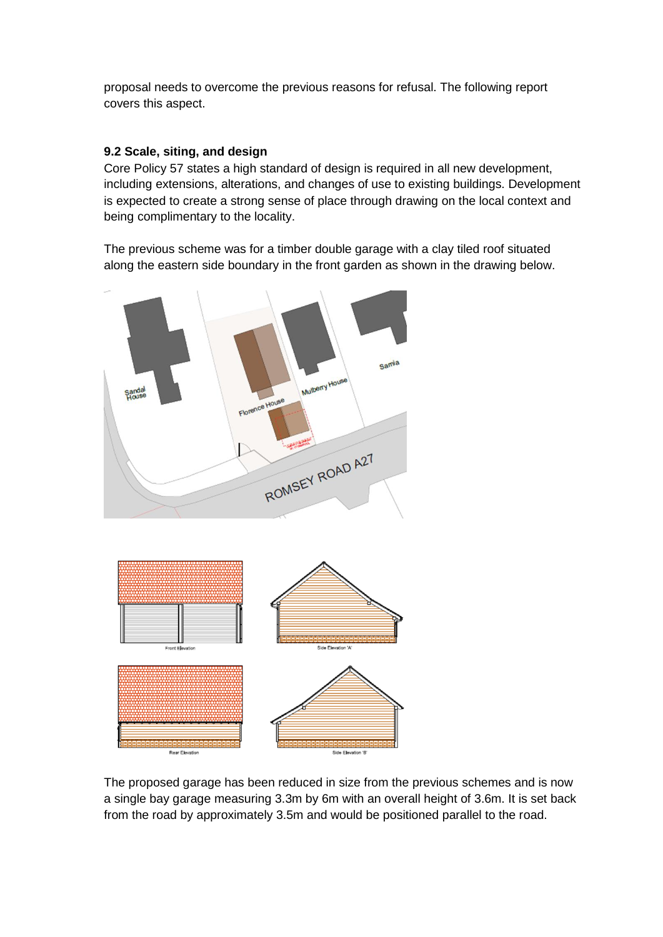proposal needs to overcome the previous reasons for refusal. The following report covers this aspect.

## **9.2 Scale, siting, and design**

Core Policy 57 states a high standard of design is required in all new development, including extensions, alterations, and changes of use to existing buildings. Development is expected to create a strong sense of place through drawing on the local context and being complimentary to the locality.

The previous scheme was for a timber double garage with a clay tiled roof situated along the eastern side boundary in the front garden as shown in the drawing below.



The proposed garage has been reduced in size from the previous schemes and is now a single bay garage measuring 3.3m by 6m with an overall height of 3.6m. It is set back from the road by approximately 3.5m and would be positioned parallel to the road.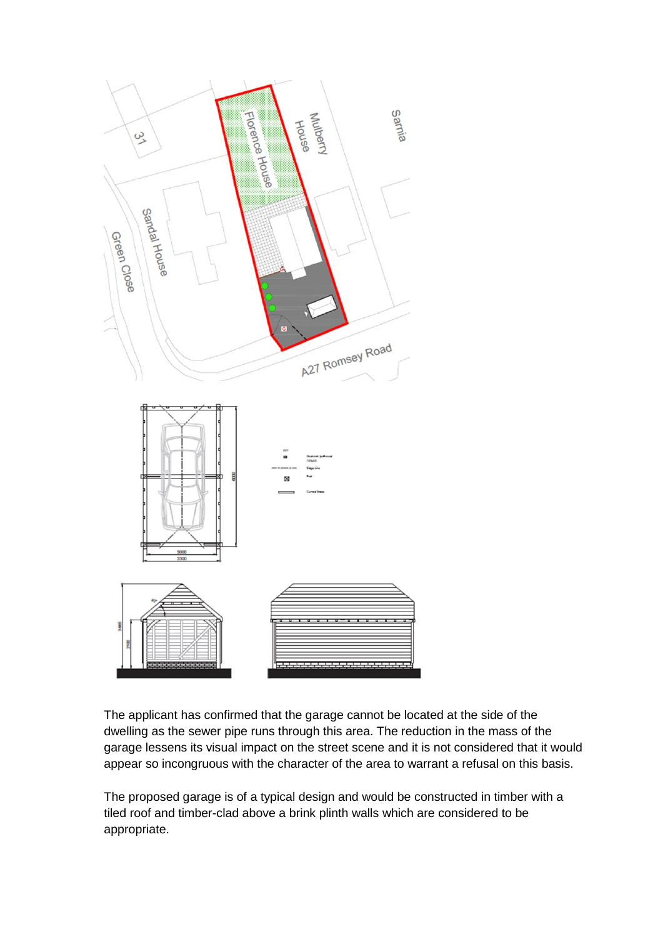

The applicant has confirmed that the garage cannot be located at the side of the dwelling as the sewer pipe runs through this area. The reduction in the mass of the garage lessens its visual impact on the street scene and it is not considered that it would appear so incongruous with the character of the area to warrant a refusal on this basis.

The proposed garage is of a typical design and would be constructed in timber with a tiled roof and timber-clad above a brink plinth walls which are considered to be appropriate.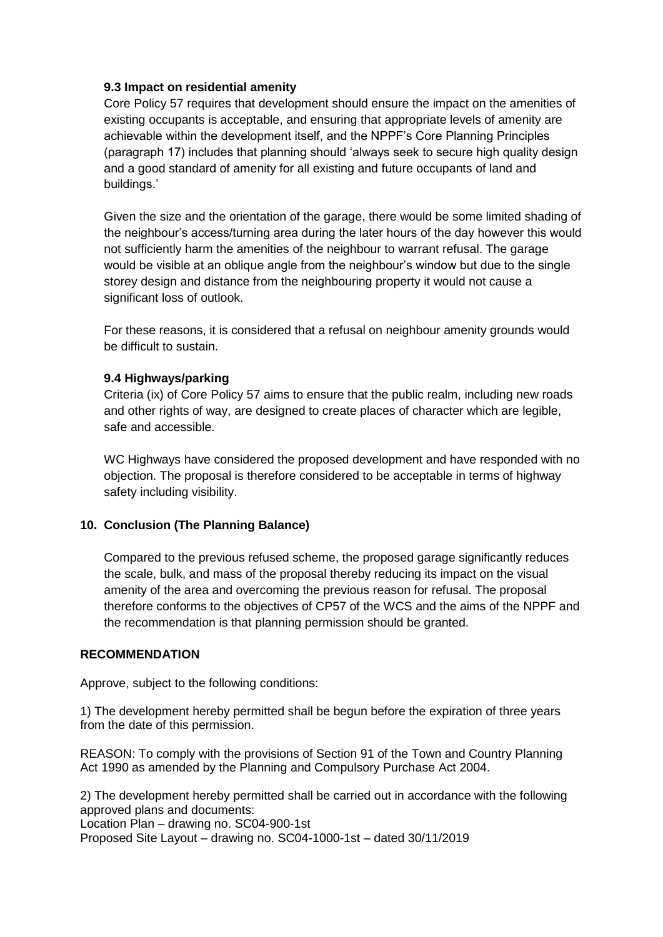### **9.3 Impact on residential amenity**

Core Policy 57 requires that development should ensure the impact on the amenities of existing occupants is acceptable, and ensuring that appropriate levels of amenity are achievable within the development itself, and the NPPF's Core Planning Principles (paragraph 17) includes that planning should 'always seek to secure high quality design and a good standard of amenity for all existing and future occupants of land and buildings.'

Given the size and the orientation of the garage, there would be some limited shading of the neighbour's access/turning area during the later hours of the day however this would not sufficiently harm the amenities of the neighbour to warrant refusal. The garage would be visible at an oblique angle from the neighbour's window but due to the single storey design and distance from the neighbouring property it would not cause a significant loss of outlook.

For these reasons, it is considered that a refusal on neighbour amenity grounds would be difficult to sustain.

### **9.4 Highways/parking**

Criteria (ix) of Core Policy 57 aims to ensure that the public realm, including new roads and other rights of way, are designed to create places of character which are legible, safe and accessible.

WC Highways have considered the proposed development and have responded with no objection. The proposal is therefore considered to be acceptable in terms of highway safety including visibility.

# **10. Conclusion (The Planning Balance)**

Compared to the previous refused scheme, the proposed garage significantly reduces the scale, bulk, and mass of the proposal thereby reducing its impact on the visual amenity of the area and overcoming the previous reason for refusal. The proposal therefore conforms to the objectives of CP57 of the WCS and the aims of the NPPF and the recommendation is that planning permission should be granted.

### **RECOMMENDATION**

Approve, subject to the following conditions:

1) The development hereby permitted shall be begun before the expiration of three years from the date of this permission.

REASON: To comply with the provisions of Section 91 of the Town and Country Planning Act 1990 as amended by the Planning and Compulsory Purchase Act 2004.

2) The development hereby permitted shall be carried out in accordance with the following approved plans and documents:

Location Plan – drawing no. SC04-900-1st

Proposed Site Layout – drawing no. SC04-1000-1st – dated 30/11/2019